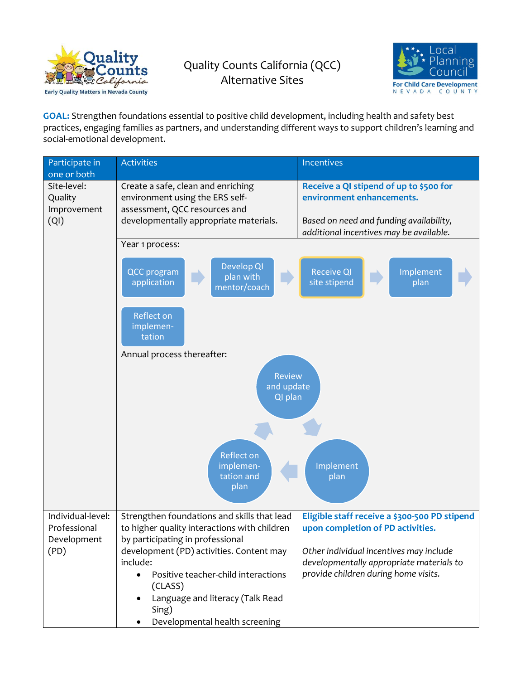

## Quality Counts California (QCC) Alternative Sites



GOAL: Strengthen foundations essential to positive child development, including health and safety best practices, engaging families as partners, and understanding different ways to support children's learning and social-emotional development.

| Participate in<br>one or both                            | <b>Activities</b>                                                                                                                                                                                                                                                                                                                                  | <b>Incentives</b>                                                                                                                                                                                                 |  |
|----------------------------------------------------------|----------------------------------------------------------------------------------------------------------------------------------------------------------------------------------------------------------------------------------------------------------------------------------------------------------------------------------------------------|-------------------------------------------------------------------------------------------------------------------------------------------------------------------------------------------------------------------|--|
| Site-level:<br>Quality<br>Improvement<br>(QI)            | Create a safe, clean and enriching<br>environment using the ERS self-<br>assessment, QCC resources and<br>developmentally appropriate materials.                                                                                                                                                                                                   | Receive a QI stipend of up to \$500 for<br>environment enhancements.<br>Based on need and funding availability,<br>additional incentives may be available.                                                        |  |
|                                                          | Year 1 process:                                                                                                                                                                                                                                                                                                                                    |                                                                                                                                                                                                                   |  |
|                                                          | Develop QI<br><b>QCC</b> program<br>plan with<br>application<br>mentor/coach                                                                                                                                                                                                                                                                       | <b>Receive QI</b><br>Implement<br>site stipend<br>plan                                                                                                                                                            |  |
|                                                          | Reflect on<br>implemen-<br>tation                                                                                                                                                                                                                                                                                                                  |                                                                                                                                                                                                                   |  |
|                                                          | Annual process thereafter:                                                                                                                                                                                                                                                                                                                         |                                                                                                                                                                                                                   |  |
|                                                          | <b>Review</b><br>and update<br>QI plan                                                                                                                                                                                                                                                                                                             |                                                                                                                                                                                                                   |  |
|                                                          | <b>Reflect on</b><br>implemen-<br>tation and<br>plan                                                                                                                                                                                                                                                                                               | Implement<br>plan                                                                                                                                                                                                 |  |
| Individual-level:<br>Professional<br>Development<br>(PD) | Strengthen foundations and skills that lead<br>to higher quality interactions with children<br>by participating in professional<br>development (PD) activities. Content may<br>include:<br>Positive teacher-child interactions<br>$\bullet$<br>(CLASS)<br>Language and literacy (Talk Read<br>$\bullet$<br>Sing)<br>Developmental health screening | Eligible staff receive a \$300-500 PD stipend<br>upon completion of PD activities.<br>Other individual incentives may include<br>developmentally appropriate materials to<br>provide children during home visits. |  |